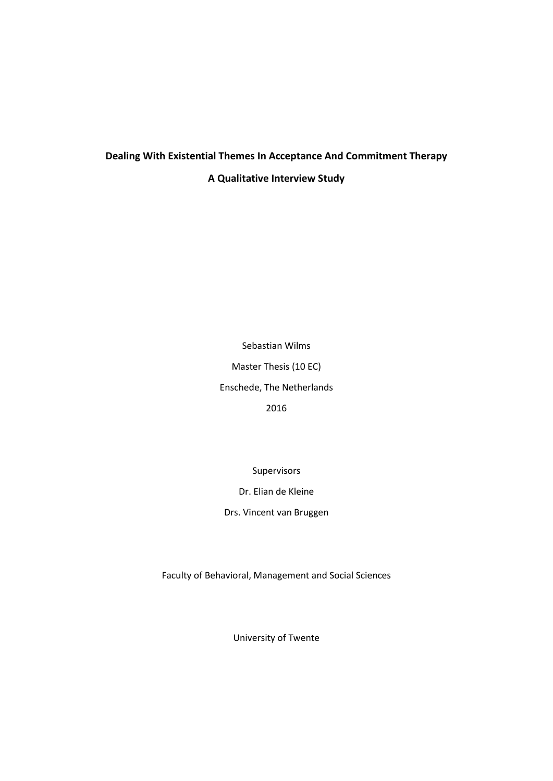# **Dealing With Existential Themes In Acceptance And Commitment Therapy A Qualitative Interview Study**

Sebastian Wilms Master Thesis (10 EC) Enschede, The Netherlands 2016

Supervisors

Dr. Elian de Kleine

Drs. Vincent van Bruggen

Faculty of Behavioral, Management and Social Sciences

University of Twente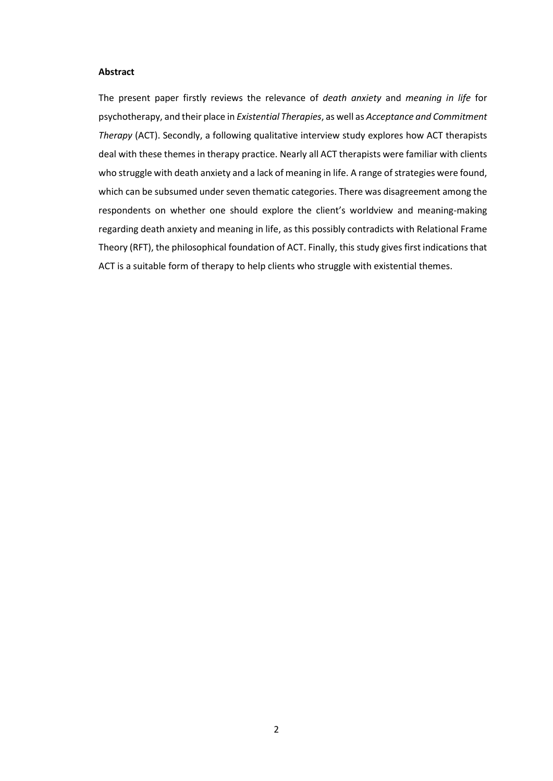### **Abstract**

The present paper firstly reviews the relevance of *death anxiety* and *meaning in life* for psychotherapy, and their place in *Existential Therapies*, as well as *Acceptance and Commitment Therapy* (ACT). Secondly, a following qualitative interview study explores how ACT therapists deal with these themes in therapy practice. Nearly all ACT therapists were familiar with clients who struggle with death anxiety and a lack of meaning in life. A range of strategies were found, which can be subsumed under seven thematic categories. There was disagreement among the respondents on whether one should explore the client's worldview and meaning-making regarding death anxiety and meaning in life, as this possibly contradicts with Relational Frame Theory (RFT), the philosophical foundation of ACT. Finally, this study gives first indications that ACT is a suitable form of therapy to help clients who struggle with existential themes.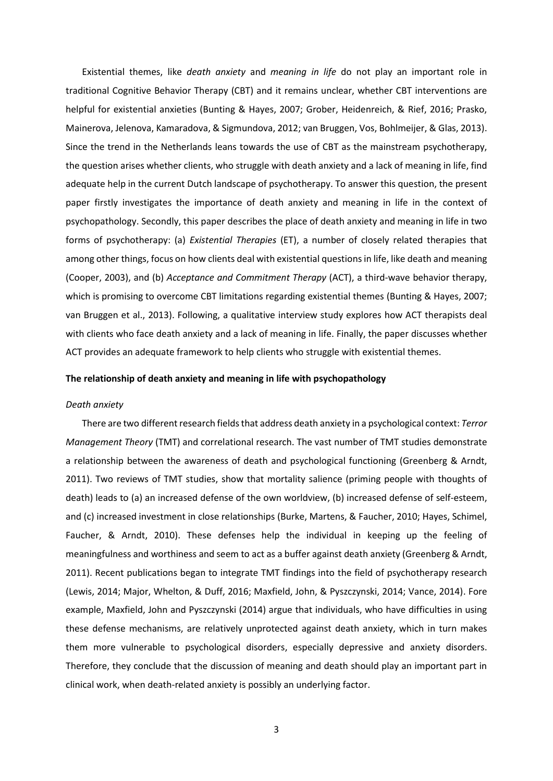Existential themes, like *death anxiety* and *meaning in life* do not play an important role in traditional Cognitive Behavior Therapy (CBT) and it remains unclear, whether CBT interventions are helpful for existential anxieties (Bunting & Hayes, 2007; Grober, Heidenreich, & Rief, 2016; Prasko, Mainerova, Jelenova, Kamaradova, & Sigmundova, 2012; van Bruggen, Vos, Bohlmeijer, & Glas, 2013). Since the trend in the Netherlands leans towards the use of CBT as the mainstream psychotherapy, the question arises whether clients, who struggle with death anxiety and a lack of meaning in life, find adequate help in the current Dutch landscape of psychotherapy. To answer this question, the present paper firstly investigates the importance of death anxiety and meaning in life in the context of psychopathology. Secondly, this paper describes the place of death anxiety and meaning in life in two forms of psychotherapy: (a) *Existential Therapies* (ET), a number of closely related therapies that among other things, focus on how clients deal with existential questions in life, like death and meaning (Cooper, 2003), and (b) *Acceptance and Commitment Therapy* (ACT), a third-wave behavior therapy, which is promising to overcome CBT limitations regarding existential themes (Bunting & Hayes, 2007; van Bruggen et al., 2013). Following, a qualitative interview study explores how ACT therapists deal with clients who face death anxiety and a lack of meaning in life. Finally, the paper discusses whether ACT provides an adequate framework to help clients who struggle with existential themes.

#### **The relationship of death anxiety and meaning in life with psychopathology**

## *Death anxiety*

 There are two different research fieldsthat address death anxiety in a psychological context: *Terror Management Theory* (TMT) and correlational research. The vast number of TMT studies demonstrate a relationship between the awareness of death and psychological functioning (Greenberg & Arndt, 2011). Two reviews of TMT studies, show that mortality salience (priming people with thoughts of death) leads to (a) an increased defense of the own worldview, (b) increased defense of self-esteem, and (c) increased investment in close relationships (Burke, Martens, & Faucher, 2010; Hayes, Schimel, Faucher, & Arndt, 2010). These defenses help the individual in keeping up the feeling of meaningfulness and worthiness and seem to act as a buffer against death anxiety (Greenberg & Arndt, 2011). Recent publications began to integrate TMT findings into the field of psychotherapy research (Lewis, 2014; Major, Whelton, & Duff, 2016; Maxfield, John, & Pyszczynski, 2014; Vance, 2014). Fore example, Maxfield, John and Pyszczynski (2014) argue that individuals, who have difficulties in using these defense mechanisms, are relatively unprotected against death anxiety, which in turn makes them more vulnerable to psychological disorders, especially depressive and anxiety disorders. Therefore, they conclude that the discussion of meaning and death should play an important part in clinical work, when death-related anxiety is possibly an underlying factor.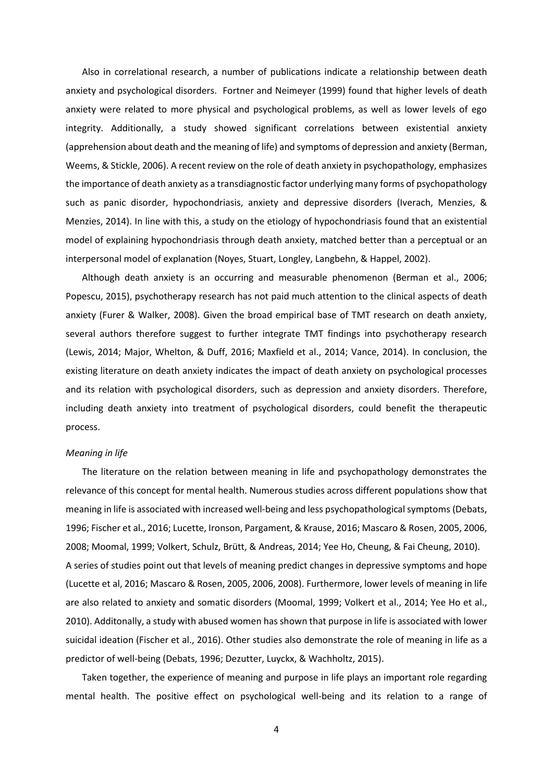Also in correlational research, a number of publications indicate a relationship between death anxiety and psychological disorders. Fortner and Neimeyer (1999) found that higher levels of death anxiety were related to more physical and psychological problems, as well as lower levels of ego integrity. Additionally, a study showed significant correlations between existential anxiety (apprehension about death and the meaning of life) and symptoms of depression and anxiety (Berman, Weems, & Stickle, 2006). A recent review on the role of death anxiety in psychopathology, emphasizes the importance of death anxiety as a transdiagnostic factor underlying many forms of psychopathology such as panic disorder, hypochondriasis, anxiety and depressive disorders (Iverach, Menzies, & Menzies, 2014). In line with this, a study on the etiology of hypochondriasis found that an existential model of explaining hypochondriasis through death anxiety, matched better than a perceptual or an interpersonal model of explanation (Noyes, Stuart, Longley, Langbehn, & Happel, 2002).

 Although death anxiety is an occurring and measurable phenomenon (Berman et al., 2006; Popescu, 2015), psychotherapy research has not paid much attention to the clinical aspects of death anxiety (Furer & Walker, 2008). Given the broad empirical base of TMT research on death anxiety, several authors therefore suggest to further integrate TMT findings into psychotherapy research (Lewis, 2014; Major, Whelton, & Duff, 2016; Maxfield et al., 2014; Vance, 2014). In conclusion, the existing literature on death anxiety indicates the impact of death anxiety on psychological processes and its relation with psychological disorders, such as depression and anxiety disorders. Therefore, including death anxiety into treatment of psychological disorders, could benefit the therapeutic process.

## *Meaning in life*

 The literature on the relation between meaning in life and psychopathology demonstrates the relevance of this concept for mental health. Numerous studies across different populations show that meaning in life is associated with increased well-being and less psychopathological symptoms (Debats, 1996; Fischer et al., 2016; Lucette, Ironson, Pargament, & Krause, 2016; Mascaro & Rosen, 2005, 2006, 2008; Moomal, 1999; Volkert, Schulz, Brütt, & Andreas, 2014; Yee Ho, Cheung, & Fai Cheung, 2010). A series of studies point out that levels of meaning predict changes in depressive symptoms and hope (Lucette et al, 2016; Mascaro & Rosen, 2005, 2006, 2008). Furthermore, lower levels of meaning in life are also related to anxiety and somatic disorders (Moomal, 1999; Volkert et al., 2014; Yee Ho et al., 2010). Additonally, a study with abused women has shown that purpose in life is associated with lower suicidal ideation (Fischer et al., 2016). Other studies also demonstrate the role of meaning in life as a predictor of well-being (Debats, 1996; Dezutter, Luyckx, & Wachholtz, 2015).

 Taken together, the experience of meaning and purpose in life plays an important role regarding mental health. The positive effect on psychological well-being and its relation to a range of

4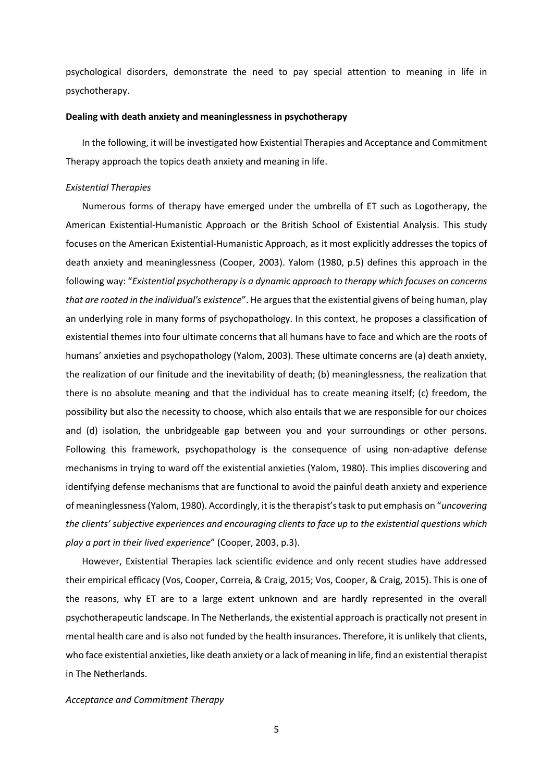psychological disorders, demonstrate the need to pay special attention to meaning in life in psychotherapy.

#### **Dealing with death anxiety and meaninglessness in psychotherapy**

 In the following, it will be investigated how Existential Therapies and Acceptance and Commitment Therapy approach the topics death anxiety and meaning in life.

#### *Existential Therapies*

 Numerous forms of therapy have emerged under the umbrella of ET such as Logotherapy, the American Existential-Humanistic Approach or the British School of Existential Analysis. This study focuses on the American Existential-Humanistic Approach, as it most explicitly addresses the topics of death anxiety and meaninglessness (Cooper, 2003). Yalom (1980, p.5) defines this approach in the following way: "*Existential psychotherapy is a dynamic approach to therapy which focuses on concerns that are rooted in the individual's existence*". He argues that the existential givens of being human, play an underlying role in many forms of psychopathology. In this context, he proposes a classification of existential themes into four ultimate concerns that all humans have to face and which are the roots of humans' anxieties and psychopathology (Yalom, 2003). These ultimate concerns are (a) death anxiety, the realization of our finitude and the inevitability of death; (b) meaninglessness, the realization that there is no absolute meaning and that the individual has to create meaning itself; (c) freedom, the possibility but also the necessity to choose, which also entails that we are responsible for our choices and (d) isolation, the unbridgeable gap between you and your surroundings or other persons. Following this framework, psychopathology is the consequence of using non-adaptive defense mechanisms in trying to ward off the existential anxieties (Yalom, 1980). This implies discovering and identifying defense mechanisms that are functional to avoid the painful death anxiety and experience of meaninglessness (Yalom, 1980). Accordingly, it is the therapist'stask to put emphasis on "*uncovering the clients' subjective experiences and encouraging clients to face up to the existential questions which play a part in their lived experience*" (Cooper, 2003, p.3).

 However, Existential Therapies lack scientific evidence and only recent studies have addressed their empirical efficacy (Vos, Cooper, Correia, & Craig, 2015; Vos, Cooper, & Craig, 2015). This is one of the reasons, why ET are to a large extent unknown and are hardly represented in the overall psychotherapeutic landscape. In The Netherlands, the existential approach is practically not present in mental health care and is also not funded by the health insurances. Therefore, it is unlikely that clients, who face existential anxieties, like death anxiety or a lack of meaning in life, find an existential therapist in The Netherlands.

#### *Acceptance and Commitment Therapy*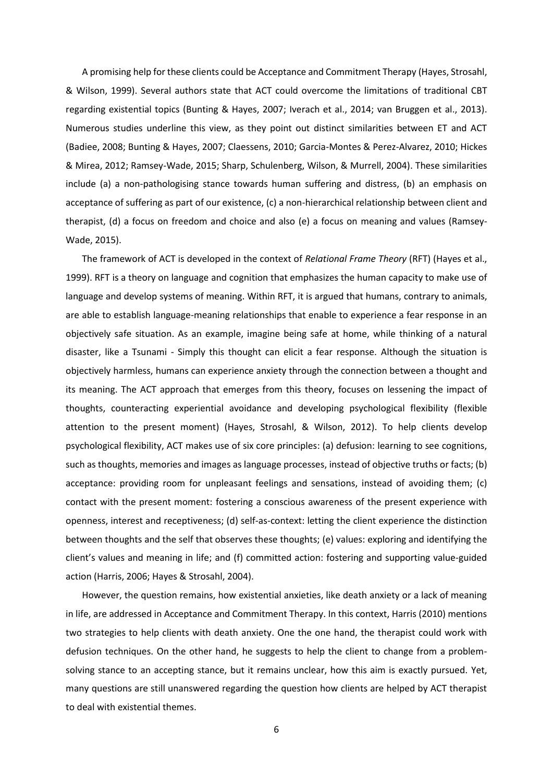A promising help for these clients could be Acceptance and Commitment Therapy (Hayes, Strosahl, & Wilson, 1999). Several authors state that ACT could overcome the limitations of traditional CBT regarding existential topics (Bunting & Hayes, 2007; Iverach et al., 2014; van Bruggen et al., 2013). Numerous studies underline this view, as they point out distinct similarities between ET and ACT (Badiee, 2008; Bunting & Hayes, 2007; Claessens, 2010; Garcia-Montes & Perez-Alvarez, 2010; Hickes & Mirea, 2012; Ramsey-Wade, 2015; Sharp, Schulenberg, Wilson, & Murrell, 2004). These similarities include (a) a non-pathologising stance towards human suffering and distress, (b) an emphasis on acceptance of suffering as part of our existence, (c) a non-hierarchical relationship between client and therapist, (d) a focus on freedom and choice and also (e) a focus on meaning and values (Ramsey-Wade, 2015).

 The framework of ACT is developed in the context of *Relational Frame Theory* (RFT) (Hayes et al., 1999). RFT is a theory on language and cognition that emphasizes the human capacity to make use of language and develop systems of meaning. Within RFT, it is argued that humans, contrary to animals, are able to establish language-meaning relationships that enable to experience a fear response in an objectively safe situation. As an example, imagine being safe at home, while thinking of a natural disaster, like a Tsunami - Simply this thought can elicit a fear response. Although the situation is objectively harmless, humans can experience anxiety through the connection between a thought and its meaning. The ACT approach that emerges from this theory, focuses on lessening the impact of thoughts, counteracting experiential avoidance and developing psychological flexibility (flexible attention to the present moment) (Hayes, Strosahl, & Wilson, 2012). To help clients develop psychological flexibility, ACT makes use of six core principles: (a) defusion: learning to see cognitions, such as thoughts, memories and images as language processes, instead of objective truths or facts; (b) acceptance: providing room for unpleasant feelings and sensations, instead of avoiding them; (c) contact with the present moment: fostering a conscious awareness of the present experience with openness, interest and receptiveness; (d) self-as-context: letting the client experience the distinction between thoughts and the self that observes these thoughts; (e) values: exploring and identifying the client's values and meaning in life; and (f) committed action: fostering and supporting value-guided action (Harris, 2006; Hayes & Strosahl, 2004).

 However, the question remains, how existential anxieties, like death anxiety or a lack of meaning in life, are addressed in Acceptance and Commitment Therapy. In this context, Harris (2010) mentions two strategies to help clients with death anxiety. One the one hand, the therapist could work with defusion techniques. On the other hand, he suggests to help the client to change from a problemsolving stance to an accepting stance, but it remains unclear, how this aim is exactly pursued. Yet, many questions are still unanswered regarding the question how clients are helped by ACT therapist to deal with existential themes.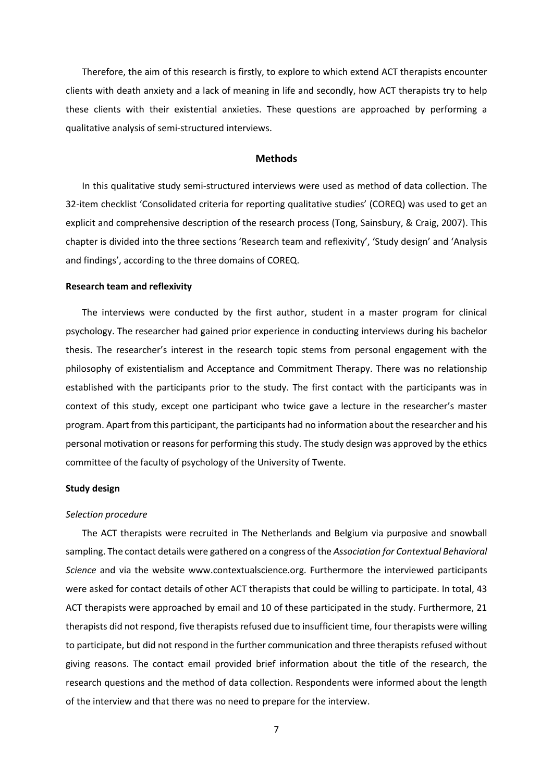Therefore, the aim of this research is firstly, to explore to which extend ACT therapists encounter clients with death anxiety and a lack of meaning in life and secondly, how ACT therapists try to help these clients with their existential anxieties. These questions are approached by performing a qualitative analysis of semi-structured interviews.

## **Methods**

 In this qualitative study semi-structured interviews were used as method of data collection. The 32-item checklist 'Consolidated criteria for reporting qualitative studies' (COREQ) was used to get an explicit and comprehensive description of the research process (Tong, Sainsbury, & Craig, 2007). This chapter is divided into the three sections 'Research team and reflexivity', 'Study design' and 'Analysis and findings', according to the three domains of COREQ.

#### **Research team and reflexivity**

 The interviews were conducted by the first author, student in a master program for clinical psychology. The researcher had gained prior experience in conducting interviews during his bachelor thesis. The researcher's interest in the research topic stems from personal engagement with the philosophy of existentialism and Acceptance and Commitment Therapy. There was no relationship established with the participants prior to the study. The first contact with the participants was in context of this study, except one participant who twice gave a lecture in the researcher's master program. Apart from this participant, the participants had no information about the researcher and his personal motivation or reasons for performing this study. The study design was approved by the ethics committee of the faculty of psychology of the University of Twente.

#### **Study design**

#### *Selection procedure*

 The ACT therapists were recruited in The Netherlands and Belgium via purposive and snowball sampling. The contact details were gathered on a congress of the *Association for Contextual Behavioral Science* and via the website www.contextualscience.org. Furthermore the interviewed participants were asked for contact details of other ACT therapists that could be willing to participate. In total, 43 ACT therapists were approached by email and 10 of these participated in the study. Furthermore, 21 therapists did not respond, five therapists refused due to insufficient time, four therapists were willing to participate, but did not respond in the further communication and three therapists refused without giving reasons. The contact email provided brief information about the title of the research, the research questions and the method of data collection. Respondents were informed about the length of the interview and that there was no need to prepare for the interview.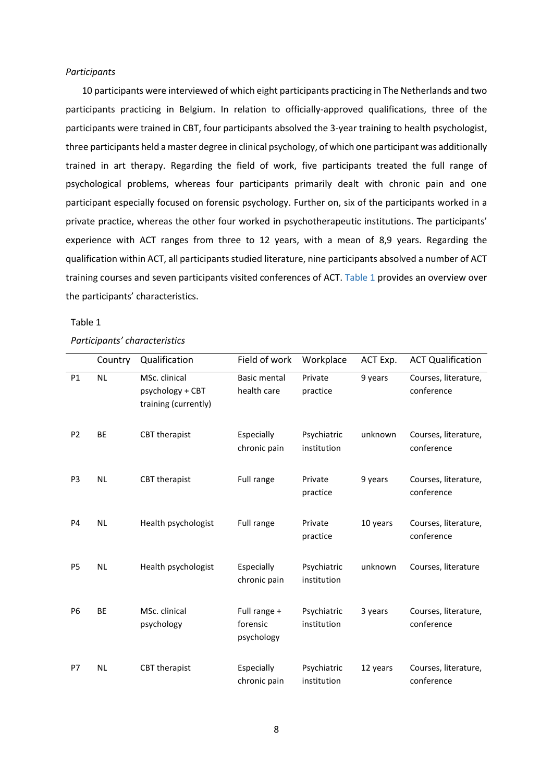## *Participants*

 10 participants were interviewed of which eight participants practicing in The Netherlands and two participants practicing in Belgium. In relation to officially-approved qualifications, three of the participants were trained in CBT, four participants absolved the 3-year training to health psychologist, three participants held a master degree in clinical psychology, of which one participant was additionally trained in art therapy. Regarding the field of work, five participants treated the full range of psychological problems, whereas four participants primarily dealt with chronic pain and one participant especially focused on forensic psychology. Further on, six of the participants worked in a private practice, whereas the other four worked in psychotherapeutic institutions. The participants' experience with ACT ranges from three to 12 years, with a mean of 8,9 years. Regarding the qualification within ACT, all participants studied literature, nine participants absolved a number of ACT training courses and seven participants visited conferences of ACT. [Table 1](#page-7-0) provides an overview over the participants' characteristics.

#### <span id="page-7-0"></span>Table 1

## *Participants' characteristics*

|                | Country   | Qualification                                             | Field of work                          | Workplace                  | ACT Exp. | <b>ACT Qualification</b>           |
|----------------|-----------|-----------------------------------------------------------|----------------------------------------|----------------------------|----------|------------------------------------|
| P1             | <b>NL</b> | MSc. clinical<br>psychology + CBT<br>training (currently) | <b>Basic mental</b><br>health care     | Private<br>practice        | 9 years  | Courses, literature,<br>conference |
| P <sub>2</sub> | <b>BE</b> | CBT therapist                                             | Especially<br>chronic pain             | Psychiatric<br>institution | unknown  | Courses, literature,<br>conference |
| P3             | <b>NL</b> | CBT therapist                                             | Full range                             | Private<br>practice        | 9 years  | Courses, literature,<br>conference |
| P <sub>4</sub> | <b>NL</b> | Health psychologist                                       | Full range                             | Private<br>practice        | 10 years | Courses, literature,<br>conference |
| P <sub>5</sub> | <b>NL</b> | Health psychologist                                       | Especially<br>chronic pain             | Psychiatric<br>institution | unknown  | Courses, literature                |
| <b>P6</b>      | <b>BE</b> | MSc. clinical<br>psychology                               | Full range +<br>forensic<br>psychology | Psychiatric<br>institution | 3 years  | Courses, literature,<br>conference |
| P7             | <b>NL</b> | <b>CBT</b> therapist                                      | Especially<br>chronic pain             | Psychiatric<br>institution | 12 years | Courses, literature,<br>conference |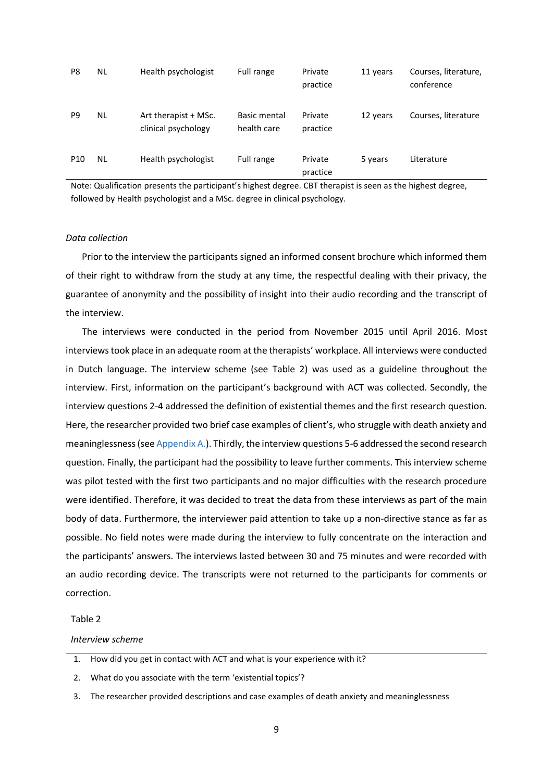| P8              | ΝL | Health psychologist                         | Full range                  | Private<br>practice | 11 years | Courses, literature,<br>conference |
|-----------------|----|---------------------------------------------|-----------------------------|---------------------|----------|------------------------------------|
| P <sub>9</sub>  | ΝL | Art therapist + MSc.<br>clinical psychology | Basic mental<br>health care | Private<br>practice | 12 years | Courses, literature                |
| P <sub>10</sub> | NL | Health psychologist                         | Full range                  | Private<br>practice | 5 years  | Literature                         |

Note: Qualification presents the participant's highest degree. CBT therapist is seen as the highest degree, followed by Health psychologist and a MSc. degree in clinical psychology.

## *Data collection*

 Prior to the interview the participants signed an informed consent brochure which informed them of their right to withdraw from the study at any time, the respectful dealing with their privacy, the guarantee of anonymity and the possibility of insight into their audio recording and the transcript of the interview.

 The interviews were conducted in the period from November 2015 until April 2016. Most interviews took place in an adequate room at the therapists' workplace. All interviews were conducted in Dutch language. The interview scheme (see [Table 2\)](#page-8-0) was used as a guideline throughout the interview. First, information on the participant's background with ACT was collected. Secondly, the interview questions 2-4 addressed the definition of existential themes and the first research question. Here, the researcher provided two brief case examples of client's, who struggle with death anxiety and meaninglessness(see [Appendix A.\)](#page-24-0). Thirdly, the interview questions 5-6 addressed the second research question. Finally, the participant had the possibility to leave further comments. This interview scheme was pilot tested with the first two participants and no major difficulties with the research procedure were identified. Therefore, it was decided to treat the data from these interviews as part of the main body of data. Furthermore, the interviewer paid attention to take up a non-directive stance as far as possible. No field notes were made during the interview to fully concentrate on the interaction and the participants' answers. The interviews lasted between 30 and 75 minutes and were recorded with an audio recording device. The transcripts were not returned to the participants for comments or correction.

## <span id="page-8-0"></span>Table 2

#### *Interview scheme*

2. What do you associate with the term 'existential topics'?

3. The researcher provided descriptions and case examples of death anxiety and meaninglessness

<sup>1.</sup> How did you get in contact with ACT and what is your experience with it?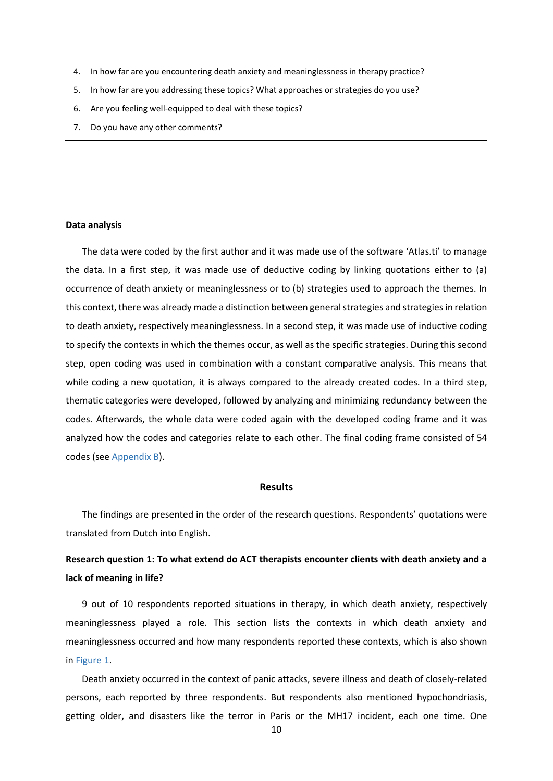- 4. In how far are you encountering death anxiety and meaninglessness in therapy practice?
- 5. In how far are you addressing these topics? What approaches or strategies do you use?
- 6. Are you feeling well-equipped to deal with these topics?
- 7. Do you have any other comments?

#### **Data analysis**

 The data were coded by the first author and it was made use of the software 'Atlas.ti' to manage the data. In a first step, it was made use of deductive coding by linking quotations either to (a) occurrence of death anxiety or meaninglessness or to (b) strategies used to approach the themes. In this context, there was already made a distinction between general strategies and strategies in relation to death anxiety, respectively meaninglessness. In a second step, it was made use of inductive coding to specify the contexts in which the themes occur, as well as the specific strategies. During this second step, open coding was used in combination with a constant comparative analysis. This means that while coding a new quotation, it is always compared to the already created codes. In a third step, thematic categories were developed, followed by analyzing and minimizing redundancy between the codes. Afterwards, the whole data were coded again with the developed coding frame and it was analyzed how the codes and categories relate to each other. The final coding frame consisted of 54 codes (see [Appendix B\)](#page-25-0).

## **Results**

 The findings are presented in the order of the research questions. Respondents' quotations were translated from Dutch into English.

## **Research question 1: To what extend do ACT therapists encounter clients with death anxiety and a lack of meaning in life?**

 9 out of 10 respondents reported situations in therapy, in which death anxiety, respectively meaninglessness played a role. This section lists the contexts in which death anxiety and meaninglessness occurred and how many respondents reported these contexts, which is also shown i[n Figure 1.](#page-10-0)

 Death anxiety occurred in the context of panic attacks, severe illness and death of closely-related persons, each reported by three respondents. But respondents also mentioned hypochondriasis, getting older, and disasters like the terror in Paris or the MH17 incident, each one time. One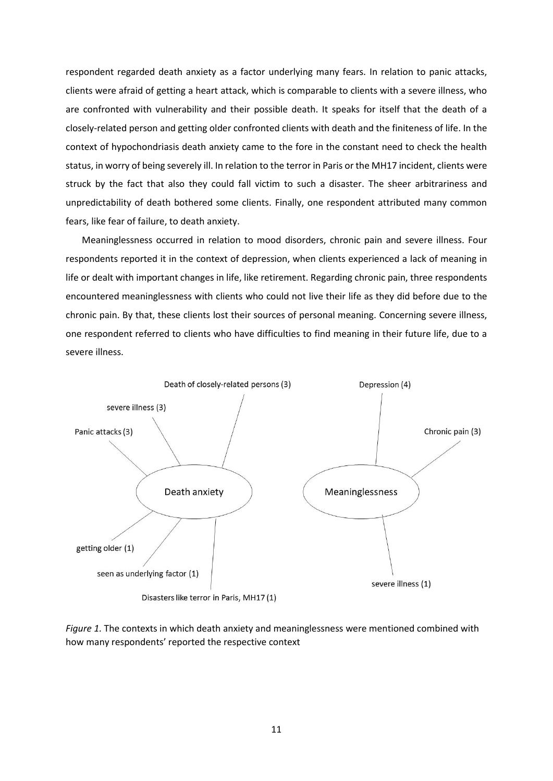respondent regarded death anxiety as a factor underlying many fears. In relation to panic attacks, clients were afraid of getting a heart attack, which is comparable to clients with a severe illness, who are confronted with vulnerability and their possible death. It speaks for itself that the death of a closely-related person and getting older confronted clients with death and the finiteness of life. In the context of hypochondriasis death anxiety came to the fore in the constant need to check the health status, in worry of being severely ill. In relation to the terror in Paris or the MH17 incident, clients were struck by the fact that also they could fall victim to such a disaster. The sheer arbitrariness and unpredictability of death bothered some clients. Finally, one respondent attributed many common fears, like fear of failure, to death anxiety.

 Meaninglessness occurred in relation to mood disorders, chronic pain and severe illness. Four respondents reported it in the context of depression, when clients experienced a lack of meaning in life or dealt with important changes in life, like retirement. Regarding chronic pain, three respondents encountered meaninglessness with clients who could not live their life as they did before due to the chronic pain. By that, these clients lost their sources of personal meaning. Concerning severe illness, one respondent referred to clients who have difficulties to find meaning in their future life, due to a severe illness.



<span id="page-10-0"></span>*Figure 1.* The contexts in which death anxiety and meaninglessness were mentioned combined with how many respondents' reported the respective context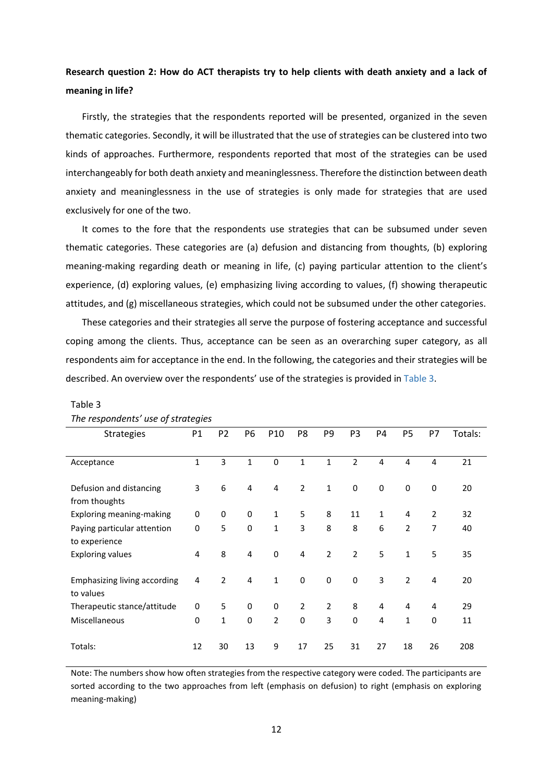## **Research question 2: How do ACT therapists try to help clients with death anxiety and a lack of meaning in life?**

 Firstly, the strategies that the respondents reported will be presented, organized in the seven thematic categories. Secondly, it will be illustrated that the use of strategies can be clustered into two kinds of approaches. Furthermore, respondents reported that most of the strategies can be used interchangeably for both death anxiety and meaninglessness. Therefore the distinction between death anxiety and meaninglessness in the use of strategies is only made for strategies that are used exclusively for one of the two.

 It comes to the fore that the respondents use strategies that can be subsumed under seven thematic categories. These categories are (a) defusion and distancing from thoughts, (b) exploring meaning-making regarding death or meaning in life, (c) paying particular attention to the client's experience, (d) exploring values, (e) emphasizing living according to values, (f) showing therapeutic attitudes, and (g) miscellaneous strategies, which could not be subsumed under the other categories.

 These categories and their strategies all serve the purpose of fostering acceptance and successful coping among the clients. Thus, acceptance can be seen as an overarching super category, as all respondents aim for acceptance in the end. In the following, the categories and their strategies will be described. An overview over the respondents' use of the strategies is provided in [Table 3.](#page-11-0)

| The respondents use of strategies |             |                |                  |                         |                |                |                |    |                |                |         |
|-----------------------------------|-------------|----------------|------------------|-------------------------|----------------|----------------|----------------|----|----------------|----------------|---------|
| <b>Strategies</b>                 | P1          | P <sub>2</sub> | P6               | P10                     | P8             | P9             | P <sub>3</sub> | P4 | <b>P5</b>      | P7             | Totals: |
|                                   |             |                |                  |                         |                |                |                |    |                |                |         |
| Acceptance                        | 1           | 3              | $\mathbf{1}$     | $\mathbf 0$             | 1              | 1              | $\overline{2}$ | 4  | 4              | 4              | 21      |
|                                   |             |                |                  |                         |                |                |                |    |                |                |         |
| Defusion and distancing           | 3           | 6              | $\overline{4}$   | $\overline{\mathbf{4}}$ | $\overline{2}$ | $\mathbf{1}$   | $\pmb{0}$      | 0  | 0              | $\bf{0}$       | 20      |
| from thoughts                     |             |                |                  |                         |                |                |                |    |                |                |         |
| Exploring meaning-making          | $\mathbf 0$ | 0              | $\mathbf 0$      | $\mathbf{1}$            | 5              | 8              | 11             | 1  | 4              | $\overline{2}$ | 32      |
| Paying particular attention       | 0           | 5              | $\Omega$         | $\mathbf{1}$            | 3              | 8              | 8              | 6  | $\overline{2}$ | 7              | 40      |
| to experience                     |             |                |                  |                         |                |                |                |    |                |                |         |
| <b>Exploring values</b>           | 4           | 8              | $\overline{4}$   | $\bf{0}$                | 4              | $\overline{2}$ | $\overline{2}$ | 5  | $\mathbf{1}$   | 5              | 35      |
|                                   |             |                |                  |                         |                |                |                |    |                |                |         |
| Emphasizing living according      | 4           | $\overline{2}$ | $\overline{4}$   | $\mathbf{1}$            | $\mathbf 0$    | $\mathbf 0$    | $\mathbf 0$    | 3  | $\overline{2}$ | $\overline{4}$ | 20      |
| to values                         |             |                |                  |                         |                |                |                |    |                |                |         |
| Therapeutic stance/attitude       | 0           | 5              | $\mathbf 0$      | $\bf{0}$                | $\overline{2}$ | $\overline{2}$ | 8              | 4  | 4              | 4              | 29      |
| Miscellaneous                     | $\mathbf 0$ | 1              | $\boldsymbol{0}$ | $\overline{2}$          | 0              | 3              | $\mathbf 0$    | 4  | $\mathbf{1}$   | $\mathbf 0$    | 11      |
|                                   |             |                |                  |                         |                |                |                |    |                |                |         |
| Totals:                           | 12          | 30             | 13               | 9                       | 17             | 25             | 31             | 27 | 18             | 26             | 208     |
|                                   |             |                |                  |                         |                |                |                |    |                |                |         |

## <span id="page-11-0"></span>Table 3

## *The respondents' use of strategies*

Note: The numbers show how often strategies from the respective category were coded. The participants are sorted according to the two approaches from left (emphasis on defusion) to right (emphasis on exploring meaning-making)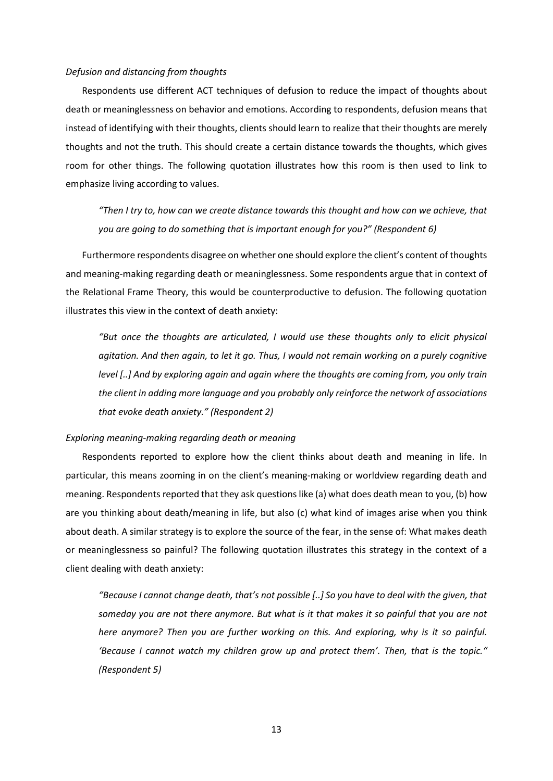#### *Defusion and distancing from thoughts*

 Respondents use different ACT techniques of defusion to reduce the impact of thoughts about death or meaninglessness on behavior and emotions. According to respondents, defusion means that instead of identifying with their thoughts, clients should learn to realize that their thoughts are merely thoughts and not the truth. This should create a certain distance towards the thoughts, which gives room for other things. The following quotation illustrates how this room is then used to link to emphasize living according to values.

*"Then I try to, how can we create distance towards this thought and how can we achieve, that you are going to do something that is important enough for you?" (Respondent 6)*

 Furthermore respondents disagree on whether one should explore the client's content of thoughts and meaning-making regarding death or meaninglessness. Some respondents argue that in context of the Relational Frame Theory, this would be counterproductive to defusion. The following quotation illustrates this view in the context of death anxiety:

*"But once the thoughts are articulated, I would use these thoughts only to elicit physical agitation. And then again, to let it go. Thus, I would not remain working on a purely cognitive level [..] And by exploring again and again where the thoughts are coming from, you only train the client in adding more language and you probably only reinforce the network of associations that evoke death anxiety." (Respondent 2)*

## *Exploring meaning-making regarding death or meaning*

 Respondents reported to explore how the client thinks about death and meaning in life. In particular, this means zooming in on the client's meaning-making or worldview regarding death and meaning. Respondents reported that they ask questions like (a) what does death mean to you, (b) how are you thinking about death/meaning in life, but also (c) what kind of images arise when you think about death. A similar strategy is to explore the source of the fear, in the sense of: What makes death or meaninglessness so painful? The following quotation illustrates this strategy in the context of a client dealing with death anxiety:

*"Because I cannot change death, that's not possible [..] So you have to deal with the given, that someday you are not there anymore. But what is it that makes it so painful that you are not here anymore? Then you are further working on this. And exploring, why is it so painful. 'Because I cannot watch my children grow up and protect them'. Then, that is the topic." (Respondent 5)*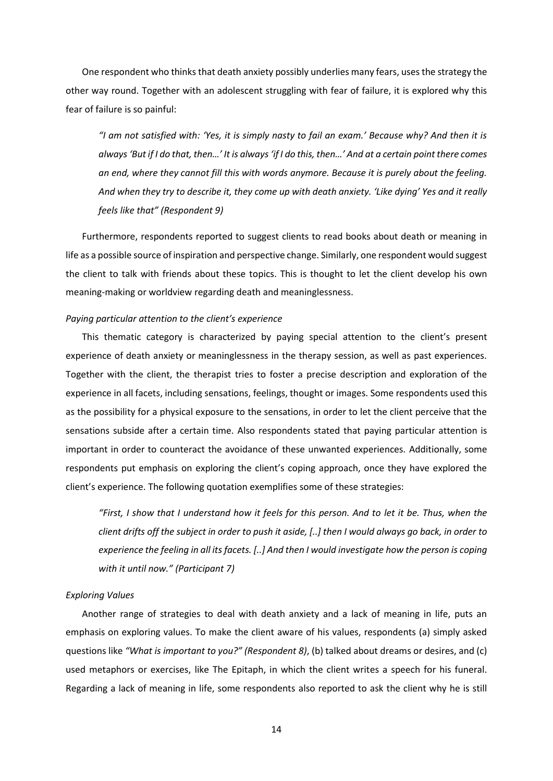One respondent who thinks that death anxiety possibly underlies many fears, uses the strategy the other way round. Together with an adolescent struggling with fear of failure, it is explored why this fear of failure is so painful:

*"I am not satisfied with: 'Yes, it is simply nasty to fail an exam.' Because why? And then it is always 'But if I do that, then…' It is always 'if I do this, then…' And at a certain point there comes an end, where they cannot fill this with words anymore. Because it is purely about the feeling. And when they try to describe it, they come up with death anxiety. 'Like dying' Yes and it really feels like that" (Respondent 9)*

 Furthermore, respondents reported to suggest clients to read books about death or meaning in life as a possible source of inspiration and perspective change. Similarly, one respondent would suggest the client to talk with friends about these topics. This is thought to let the client develop his own meaning-making or worldview regarding death and meaninglessness.

## *Paying particular attention to the client's experience*

 This thematic category is characterized by paying special attention to the client's present experience of death anxiety or meaninglessness in the therapy session, as well as past experiences. Together with the client, the therapist tries to foster a precise description and exploration of the experience in all facets, including sensations, feelings, thought or images. Some respondents used this as the possibility for a physical exposure to the sensations, in order to let the client perceive that the sensations subside after a certain time. Also respondents stated that paying particular attention is important in order to counteract the avoidance of these unwanted experiences. Additionally, some respondents put emphasis on exploring the client's coping approach, once they have explored the client's experience. The following quotation exemplifies some of these strategies:

*"First, I show that I understand how it feels for this person. And to let it be. Thus, when the client drifts off the subject in order to push it aside, [..] then I would always go back, in order to experience the feeling in all its facets. [..] And then I would investigate how the person is coping with it until now." (Participant 7)*

## *Exploring Values*

 Another range of strategies to deal with death anxiety and a lack of meaning in life, puts an emphasis on exploring values. To make the client aware of his values, respondents (a) simply asked questions like *"What is important to you?" (Respondent 8)*, (b) talked about dreams or desires, and (c) used metaphors or exercises, like The Epitaph, in which the client writes a speech for his funeral. Regarding a lack of meaning in life, some respondents also reported to ask the client why he is still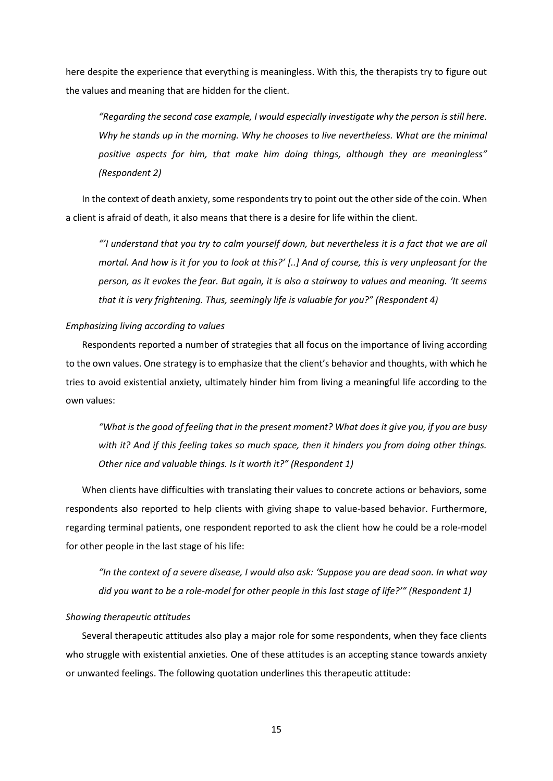here despite the experience that everything is meaningless. With this, the therapists try to figure out the values and meaning that are hidden for the client.

*"Regarding the second case example, I would especially investigate why the person is still here. Why he stands up in the morning. Why he chooses to live nevertheless. What are the minimal positive aspects for him, that make him doing things, although they are meaningless" (Respondent 2)*

 In the context of death anxiety, some respondents try to point out the other side of the coin. When a client is afraid of death, it also means that there is a desire for life within the client.

*"'I understand that you try to calm yourself down, but nevertheless it is a fact that we are all mortal. And how is it for you to look at this?' [..] And of course, this is very unpleasant for the person, as it evokes the fear. But again, it is also a stairway to values and meaning. 'It seems that it is very frightening. Thus, seemingly life is valuable for you?" (Respondent 4)*

## *Emphasizing living according to values*

 Respondents reported a number of strategies that all focus on the importance of living according to the own values. One strategy is to emphasize that the client's behavior and thoughts, with which he tries to avoid existential anxiety, ultimately hinder him from living a meaningful life according to the own values:

*"What is the good of feeling that in the present moment? What does it give you, if you are busy with it? And if this feeling takes so much space, then it hinders you from doing other things. Other nice and valuable things. Is it worth it?" (Respondent 1)*

 When clients have difficulties with translating their values to concrete actions or behaviors, some respondents also reported to help clients with giving shape to value-based behavior. Furthermore, regarding terminal patients, one respondent reported to ask the client how he could be a role-model for other people in the last stage of his life:

*"In the context of a severe disease, I would also ask: 'Suppose you are dead soon. In what way did you want to be a role-model for other people in this last stage of life?'" (Respondent 1)*

## *Showing therapeutic attitudes*

 Several therapeutic attitudes also play a major role for some respondents, when they face clients who struggle with existential anxieties. One of these attitudes is an accepting stance towards anxiety or unwanted feelings. The following quotation underlines this therapeutic attitude: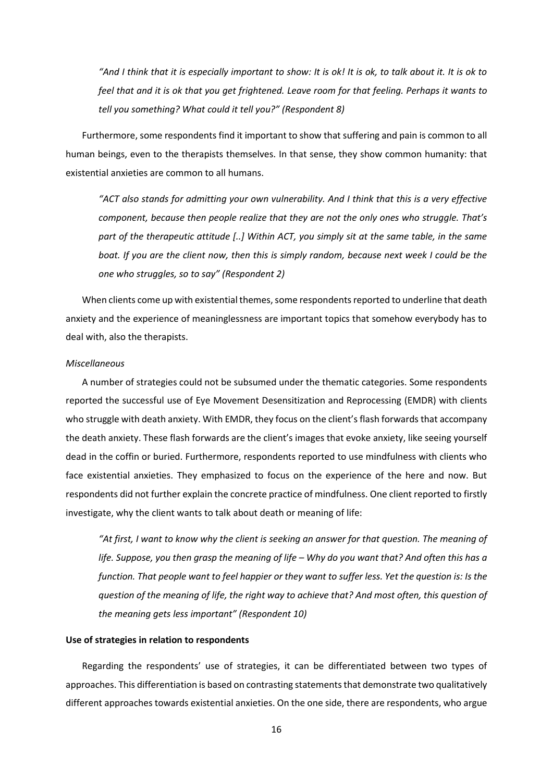*"And I think that it is especially important to show: It is ok! It is ok, to talk about it. It is ok to feel that and it is ok that you get frightened. Leave room for that feeling. Perhaps it wants to tell you something? What could it tell you?" (Respondent 8)*

 Furthermore, some respondents find it important to show that suffering and pain is common to all human beings, even to the therapists themselves. In that sense, they show common humanity: that existential anxieties are common to all humans.

*"ACT also stands for admitting your own vulnerability. And I think that this is a very effective component, because then people realize that they are not the only ones who struggle. That's part of the therapeutic attitude [..] Within ACT, you simply sit at the same table, in the same boat. If you are the client now, then this is simply random, because next week I could be the one who struggles, so to say" (Respondent 2)*

When clients come up with existential themes, some respondents reported to underline that death anxiety and the experience of meaninglessness are important topics that somehow everybody has to deal with, also the therapists.

## *Miscellaneous*

 A number of strategies could not be subsumed under the thematic categories. Some respondents reported the successful use of Eye Movement Desensitization and Reprocessing (EMDR) with clients who struggle with death anxiety. With EMDR, they focus on the client's flash forwards that accompany the death anxiety. These flash forwards are the client's images that evoke anxiety, like seeing yourself dead in the coffin or buried. Furthermore, respondents reported to use mindfulness with clients who face existential anxieties. They emphasized to focus on the experience of the here and now. But respondents did not further explain the concrete practice of mindfulness. One client reported to firstly investigate, why the client wants to talk about death or meaning of life:

*"At first, I want to know why the client is seeking an answer for that question. The meaning of life. Suppose, you then grasp the meaning of life – Why do you want that? And often this has a function. That people want to feel happier or they want to suffer less. Yet the question is: Is the question of the meaning of life, the right way to achieve that? And most often, this question of the meaning gets less important" (Respondent 10)*

#### **Use of strategies in relation to respondents**

 Regarding the respondents' use of strategies, it can be differentiated between two types of approaches. This differentiation is based on contrasting statements that demonstrate two qualitatively different approaches towards existential anxieties. On the one side, there are respondents, who argue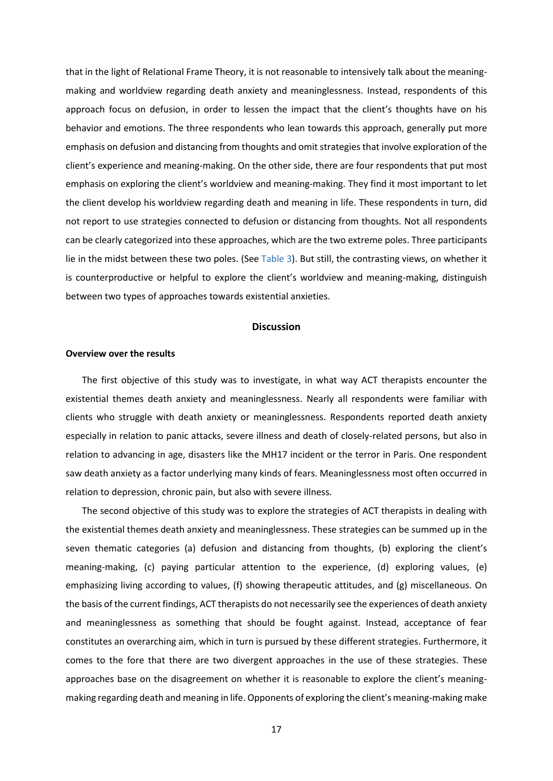that in the light of Relational Frame Theory, it is not reasonable to intensively talk about the meaningmaking and worldview regarding death anxiety and meaninglessness. Instead, respondents of this approach focus on defusion, in order to lessen the impact that the client's thoughts have on his behavior and emotions. The three respondents who lean towards this approach, generally put more emphasis on defusion and distancing from thoughts and omit strategies that involve exploration of the client's experience and meaning-making. On the other side, there are four respondents that put most emphasis on exploring the client's worldview and meaning-making. They find it most important to let the client develop his worldview regarding death and meaning in life. These respondents in turn, did not report to use strategies connected to defusion or distancing from thoughts. Not all respondents can be clearly categorized into these approaches, which are the two extreme poles. Three participants lie in the midst between these two poles. (See [Table 3\)](#page-11-0). But still, the contrasting views, on whether it is counterproductive or helpful to explore the client's worldview and meaning-making, distinguish between two types of approaches towards existential anxieties.

#### **Discussion**

#### **Overview over the results**

 The first objective of this study was to investigate, in what way ACT therapists encounter the existential themes death anxiety and meaninglessness. Nearly all respondents were familiar with clients who struggle with death anxiety or meaninglessness. Respondents reported death anxiety especially in relation to panic attacks, severe illness and death of closely-related persons, but also in relation to advancing in age, disasters like the MH17 incident or the terror in Paris. One respondent saw death anxiety as a factor underlying many kinds of fears. Meaninglessness most often occurred in relation to depression, chronic pain, but also with severe illness.

 The second objective of this study was to explore the strategies of ACT therapists in dealing with the existential themes death anxiety and meaninglessness. These strategies can be summed up in the seven thematic categories (a) defusion and distancing from thoughts, (b) exploring the client's meaning-making, (c) paying particular attention to the experience, (d) exploring values, (e) emphasizing living according to values, (f) showing therapeutic attitudes, and (g) miscellaneous. On the basis of the current findings, ACT therapists do not necessarily see the experiences of death anxiety and meaninglessness as something that should be fought against. Instead, acceptance of fear constitutes an overarching aim, which in turn is pursued by these different strategies. Furthermore, it comes to the fore that there are two divergent approaches in the use of these strategies. These approaches base on the disagreement on whether it is reasonable to explore the client's meaningmaking regarding death and meaning in life. Opponents of exploring the client's meaning-making make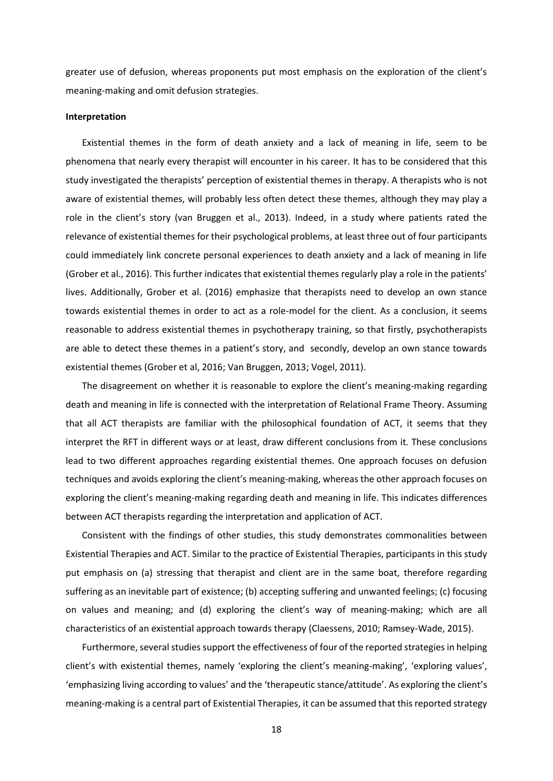greater use of defusion, whereas proponents put most emphasis on the exploration of the client's meaning-making and omit defusion strategies.

#### **Interpretation**

 Existential themes in the form of death anxiety and a lack of meaning in life, seem to be phenomena that nearly every therapist will encounter in his career. It has to be considered that this study investigated the therapists' perception of existential themes in therapy. A therapists who is not aware of existential themes, will probably less often detect these themes, although they may play a role in the client's story (van Bruggen et al., 2013). Indeed, in a study where patients rated the relevance of existential themes for their psychological problems, at least three out of four participants could immediately link concrete personal experiences to death anxiety and a lack of meaning in life (Grober et al., 2016). This further indicates that existential themes regularly play a role in the patients' lives. Additionally, Grober et al. (2016) emphasize that therapists need to develop an own stance towards existential themes in order to act as a role-model for the client. As a conclusion, it seems reasonable to address existential themes in psychotherapy training, so that firstly, psychotherapists are able to detect these themes in a patient's story, and secondly, develop an own stance towards existential themes (Grober et al, 2016; Van Bruggen, 2013; Vogel, 2011).

 The disagreement on whether it is reasonable to explore the client's meaning-making regarding death and meaning in life is connected with the interpretation of Relational Frame Theory. Assuming that all ACT therapists are familiar with the philosophical foundation of ACT, it seems that they interpret the RFT in different ways or at least, draw different conclusions from it. These conclusions lead to two different approaches regarding existential themes. One approach focuses on defusion techniques and avoids exploring the client's meaning-making, whereas the other approach focuses on exploring the client's meaning-making regarding death and meaning in life. This indicates differences between ACT therapists regarding the interpretation and application of ACT.

 Consistent with the findings of other studies, this study demonstrates commonalities between Existential Therapies and ACT. Similar to the practice of Existential Therapies, participants in this study put emphasis on (a) stressing that therapist and client are in the same boat, therefore regarding suffering as an inevitable part of existence; (b) accepting suffering and unwanted feelings; (c) focusing on values and meaning; and (d) exploring the client's way of meaning-making; which are all characteristics of an existential approach towards therapy (Claessens, 2010; Ramsey-Wade, 2015).

Furthermore, several studies support the effectiveness of four of the reported strategies in helping client's with existential themes, namely 'exploring the client's meaning-making', 'exploring values', 'emphasizing living according to values' and the 'therapeutic stance/attitude'. As exploring the client's meaning-making is a central part of Existential Therapies, it can be assumed that this reported strategy

18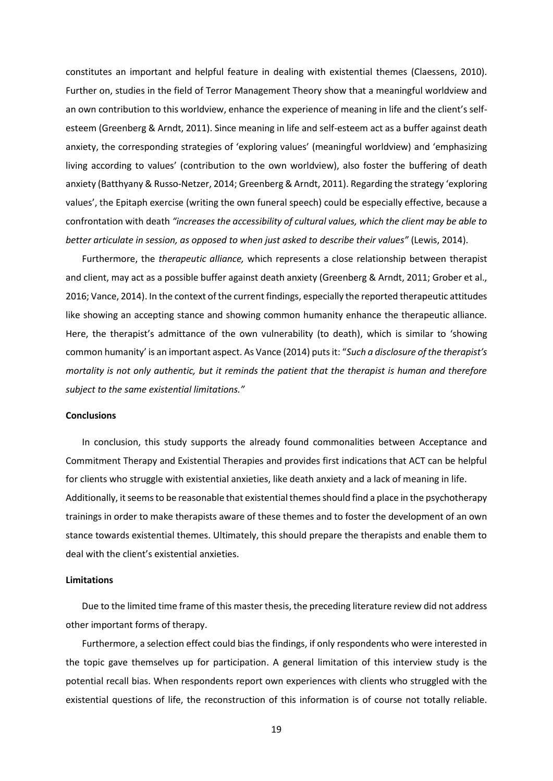constitutes an important and helpful feature in dealing with existential themes (Claessens, 2010). Further on, studies in the field of Terror Management Theory show that a meaningful worldview and an own contribution to this worldview, enhance the experience of meaning in life and the client's selfesteem (Greenberg & Arndt, 2011). Since meaning in life and self-esteem act as a buffer against death anxiety, the corresponding strategies of 'exploring values' (meaningful worldview) and 'emphasizing living according to values' (contribution to the own worldview), also foster the buffering of death anxiety (Batthyany & Russo-Netzer, 2014; Greenberg & Arndt, 2011). Regarding the strategy 'exploring values', the Epitaph exercise (writing the own funeral speech) could be especially effective, because a confrontation with death *"increases the accessibility of cultural values, which the client may be able to better articulate in session, as opposed to when just asked to describe their values"* (Lewis, 2014).

 Furthermore, the *therapeutic alliance,* which represents a close relationship between therapist and client, may act as a possible buffer against death anxiety (Greenberg & Arndt, 2011; Grober et al., 2016; Vance, 2014). In the context of the current findings, especially the reported therapeutic attitudes like showing an accepting stance and showing common humanity enhance the therapeutic alliance. Here, the therapist's admittance of the own vulnerability (to death), which is similar to 'showing common humanity' is an important aspect. As Vance (2014) puts it: "*Such a disclosure of the therapist's mortality is not only authentic, but it reminds the patient that the therapist is human and therefore subject to the same existential limitations."*

#### **Conclusions**

 In conclusion, this study supports the already found commonalities between Acceptance and Commitment Therapy and Existential Therapies and provides first indications that ACT can be helpful for clients who struggle with existential anxieties, like death anxiety and a lack of meaning in life. Additionally, it seems to be reasonable that existential themes should find a place in the psychotherapy trainings in order to make therapists aware of these themes and to foster the development of an own stance towards existential themes. Ultimately, this should prepare the therapists and enable them to deal with the client's existential anxieties.

#### **Limitations**

 Due to the limited time frame of this master thesis, the preceding literature review did not address other important forms of therapy.

 Furthermore, a selection effect could bias the findings, if only respondents who were interested in the topic gave themselves up for participation. A general limitation of this interview study is the potential recall bias. When respondents report own experiences with clients who struggled with the existential questions of life, the reconstruction of this information is of course not totally reliable.

19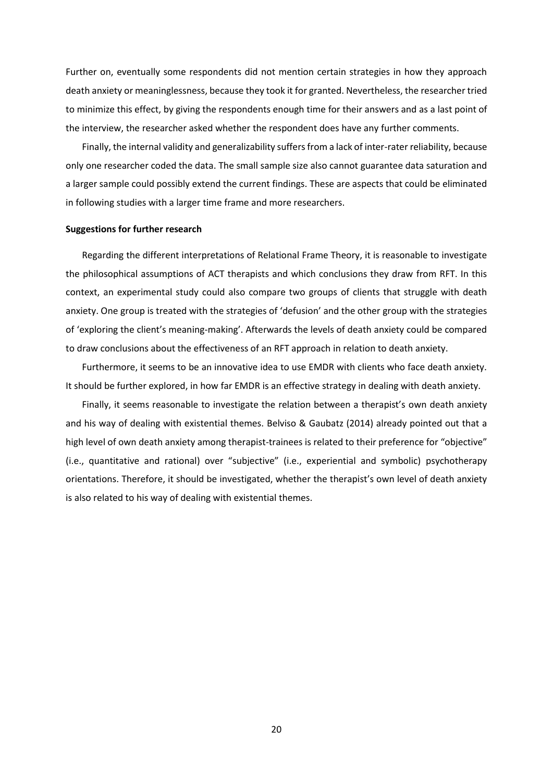Further on, eventually some respondents did not mention certain strategies in how they approach death anxiety or meaninglessness, because they took it for granted. Nevertheless, the researcher tried to minimize this effect, by giving the respondents enough time for their answers and as a last point of the interview, the researcher asked whether the respondent does have any further comments.

 Finally, the internal validity and generalizability suffers from a lack of inter-rater reliability, because only one researcher coded the data. The small sample size also cannot guarantee data saturation and a larger sample could possibly extend the current findings. These are aspects that could be eliminated in following studies with a larger time frame and more researchers.

#### **Suggestions for further research**

 Regarding the different interpretations of Relational Frame Theory, it is reasonable to investigate the philosophical assumptions of ACT therapists and which conclusions they draw from RFT. In this context, an experimental study could also compare two groups of clients that struggle with death anxiety. One group is treated with the strategies of 'defusion' and the other group with the strategies of 'exploring the client's meaning-making'. Afterwards the levels of death anxiety could be compared to draw conclusions about the effectiveness of an RFT approach in relation to death anxiety.

 Furthermore, it seems to be an innovative idea to use EMDR with clients who face death anxiety. It should be further explored, in how far EMDR is an effective strategy in dealing with death anxiety.

 Finally, it seems reasonable to investigate the relation between a therapist's own death anxiety and his way of dealing with existential themes. Belviso & Gaubatz (2014) already pointed out that a high level of own death anxiety among therapist-trainees is related to their preference for "objective" (i.e., quantitative and rational) over "subjective" (i.e., experiential and symbolic) psychotherapy orientations. Therefore, it should be investigated, whether the therapist's own level of death anxiety is also related to his way of dealing with existential themes.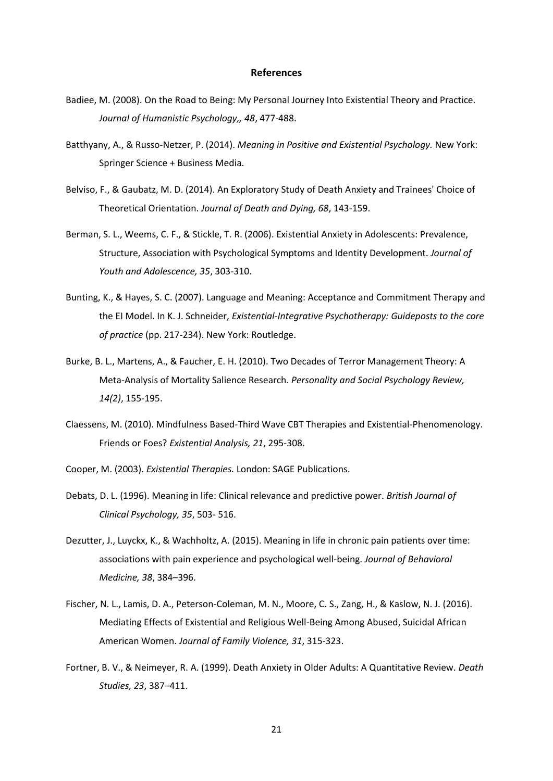#### **References**

- Badiee, M. (2008). On the Road to Being: My Personal Journey Into Existential Theory and Practice. *Journal of Humanistic Psychology,, 48*, 477-488.
- Batthyany, A., & Russo-Netzer, P. (2014). *Meaning in Positive and Existential Psychology.* New York: Springer Science + Business Media.
- Belviso, F., & Gaubatz, M. D. (2014). An Exploratory Study of Death Anxiety and Trainees' Choice of Theoretical Orientation. *Journal of Death and Dying, 68*, 143-159.
- Berman, S. L., Weems, C. F., & Stickle, T. R. (2006). Existential Anxiety in Adolescents: Prevalence, Structure, Association with Psychological Symptoms and Identity Development. *Journal of Youth and Adolescence, 35*, 303-310.
- Bunting, K., & Hayes, S. C. (2007). Language and Meaning: Acceptance and Commitment Therapy and the EI Model. In K. J. Schneider, *Existential-Integrative Psychotherapy: Guideposts to the core of practice* (pp. 217-234). New York: Routledge.
- Burke, B. L., Martens, A., & Faucher, E. H. (2010). Two Decades of Terror Management Theory: A Meta-Analysis of Mortality Salience Research. *Personality and Social Psychology Review, 14(2)*, 155-195.
- Claessens, M. (2010). Mindfulness Based-Third Wave CBT Therapies and Existential-Phenomenology. Friends or Foes? *Existential Analysis, 21*, 295-308.
- Cooper, M. (2003). *Existential Therapies.* London: SAGE Publications.
- Debats, D. L. (1996). Meaning in life: Clinical relevance and predictive power. *British Journal of Clinical Psychology, 35*, 503- 516.
- Dezutter, J., Luyckx, K., & Wachholtz, A. (2015). Meaning in life in chronic pain patients over time: associations with pain experience and psychological well-being. *Journal of Behavioral Medicine, 38*, 384–396.
- Fischer, N. L., Lamis, D. A., Peterson-Coleman, M. N., Moore, C. S., Zang, H., & Kaslow, N. J. (2016). Mediating Effects of Existential and Religious Well-Being Among Abused, Suicidal African American Women. *Journal of Family Violence, 31*, 315-323.
- Fortner, B. V., & Neimeyer, R. A. (1999). Death Anxiety in Older Adults: A Quantitative Review. *Death Studies, 23*, 387–411.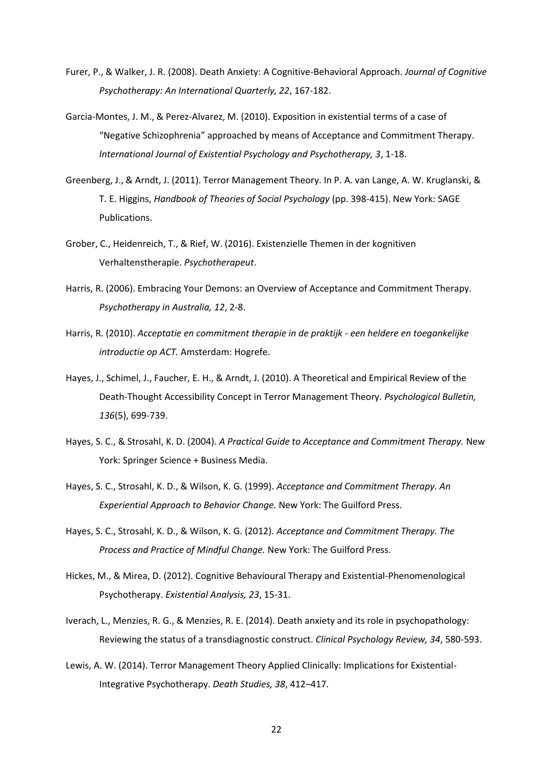- Furer, P., & Walker, J. R. (2008). Death Anxiety: A Cognitive-Behavioral Approach. *Journal of Cognitive Psychotherapy: An International Quarterly, 22*, 167-182.
- Garcia-Montes, J. M., & Perez-Alvarez, M. (2010). Exposition in existential terms of a case of "Negative Schizophrenia" approached by means of Acceptance and Commitment Therapy. *International Journal of Existential Psychology and Psychotherapy, 3*, 1-18.
- Greenberg, J., & Arndt, J. (2011). Terror Management Theory. In P. A. van Lange, A. W. Kruglanski, & T. E. Higgins, *Handbook of Theories of Social Psychology* (pp. 398-415). New York: SAGE Publications.
- Grober, C., Heidenreich, T., & Rief, W. (2016). Existenzielle Themen in der kognitiven Verhaltenstherapie. *Psychotherapeut*.
- Harris, R. (2006). Embracing Your Demons: an Overview of Acceptance and Commitment Therapy. *Psychotherapy in Australia, 12*, 2-8.
- Harris, R. (2010). *Acceptatie en commitment therapie in de praktijk - een heldere en toegankelijke introductie op ACT.* Amsterdam: Hogrefe.
- Hayes, J., Schimel, J., Faucher, E. H., & Arndt, J. (2010). A Theoretical and Empirical Review of the Death-Thought Accessibility Concept in Terror Management Theory. *Psychological Bulletin, 136*(5), 699-739.
- Hayes, S. C., & Strosahl, K. D. (2004). *A Practical Guide to Acceptance and Commitment Therapy.* New York: Springer Science + Business Media.
- Hayes, S. C., Strosahl, K. D., & Wilson, K. G. (1999). *Acceptance and Commitment Therapy. An Experiential Approach to Behavior Change.* New York: The Guilford Press.
- Hayes, S. C., Strosahl, K. D., & Wilson, K. G. (2012). *Acceptance and Commitment Therapy. The Process and Practice of Mindful Change.* New York: The Guilford Press.
- Hickes, M., & Mirea, D. (2012). Cognitive Behavioural Therapy and Existential-Phenomenological Psychotherapy. *Existential Analysis, 23*, 15-31.
- Iverach, L., Menzies, R. G., & Menzies, R. E. (2014). Death anxiety and its role in psychopathology: Reviewing the status of a transdiagnostic construct. *Clinical Psychology Review, 34*, 580-593.
- Lewis, A. W. (2014). Terror Management Theory Applied Clinically: Implications for Existential-Integrative Psychotherapy. *Death Studies, 38*, 412–417.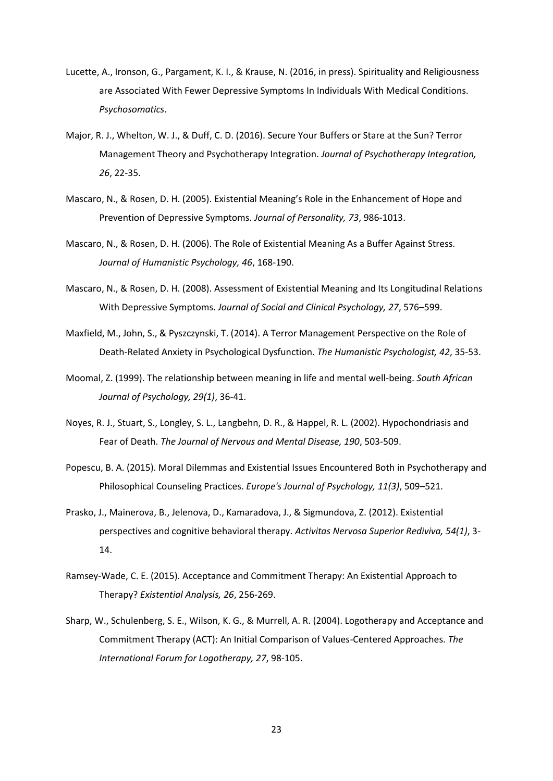- Lucette, A., Ironson, G., Pargament, K. I., & Krause, N. (2016, in press). Spirituality and Religiousness are Associated With Fewer Depressive Symptoms In Individuals With Medical Conditions. *Psychosomatics*.
- Major, R. J., Whelton, W. J., & Duff, C. D. (2016). Secure Your Buffers or Stare at the Sun? Terror Management Theory and Psychotherapy Integration. *Journal of Psychotherapy Integration, 26*, 22-35.
- Mascaro, N., & Rosen, D. H. (2005). Existential Meaning's Role in the Enhancement of Hope and Prevention of Depressive Symptoms. *Journal of Personality, 73*, 986-1013.
- Mascaro, N., & Rosen, D. H. (2006). The Role of Existential Meaning As a Buffer Against Stress. *Journal of Humanistic Psychology, 46*, 168-190.
- Mascaro, N., & Rosen, D. H. (2008). Assessment of Existential Meaning and Its Longitudinal Relations With Depressive Symptoms. *Journal of Social and Clinical Psychology, 27*, 576–599.
- Maxfield, M., John, S., & Pyszczynski, T. (2014). A Terror Management Perspective on the Role of Death-Related Anxiety in Psychological Dysfunction. *The Humanistic Psychologist, 42*, 35-53.
- Moomal, Z. (1999). The relationship between meaning in life and mental well-being. *South African Journal of Psychology, 29(1)*, 36-41.
- Noyes, R. J., Stuart, S., Longley, S. L., Langbehn, D. R., & Happel, R. L. (2002). Hypochondriasis and Fear of Death. *The Journal of Nervous and Mental Disease, 190*, 503-509.
- Popescu, B. A. (2015). Moral Dilemmas and Existential Issues Encountered Both in Psychotherapy and Philosophical Counseling Practices. *Europe's Journal of Psychology, 11(3)*, 509–521.
- Prasko, J., Mainerova, B., Jelenova, D., Kamaradova, J., & Sigmundova, Z. (2012). Existential perspectives and cognitive behavioral therapy. *Activitas Nervosa Superior Rediviva, 54(1)*, 3- 14.
- Ramsey-Wade, C. E. (2015). Acceptance and Commitment Therapy: An Existential Approach to Therapy? *Existential Analysis, 26*, 256-269.
- Sharp, W., Schulenberg, S. E., Wilson, K. G., & Murrell, A. R. (2004). Logotherapy and Acceptance and Commitment Therapy (ACT): An Initial Comparison of Values-Centered Approaches. *The International Forum for Logotherapy, 27*, 98-105.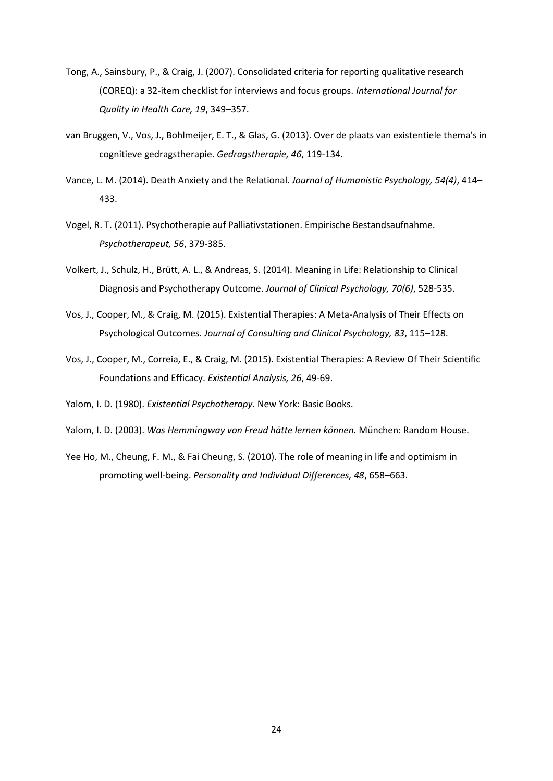- Tong, A., Sainsbury, P., & Craig, J. (2007). Consolidated criteria for reporting qualitative research (COREQ): a 32-item checklist for interviews and focus groups. *International Journal for Quality in Health Care, 19*, 349–357.
- van Bruggen, V., Vos, J., Bohlmeijer, E. T., & Glas, G. (2013). Over de plaats van existentiele thema's in cognitieve gedragstherapie. *Gedragstherapie, 46*, 119-134.
- Vance, L. M. (2014). Death Anxiety and the Relational. *Journal of Humanistic Psychology, 54(4)*, 414– 433.
- Vogel, R. T. (2011). Psychotherapie auf Palliativstationen. Empirische Bestandsaufnahme. *Psychotherapeut, 56*, 379-385.
- Volkert, J., Schulz, H., Brütt, A. L., & Andreas, S. (2014). Meaning in Life: Relationship to Clinical Diagnosis and Psychotherapy Outcome. *Journal of Clinical Psychology, 70(6)*, 528-535.
- Vos, J., Cooper, M., & Craig, M. (2015). Existential Therapies: A Meta-Analysis of Their Effects on Psychological Outcomes. *Journal of Consulting and Clinical Psychology, 83*, 115–128.
- Vos, J., Cooper, M., Correia, E., & Craig, M. (2015). Existential Therapies: A Review Of Their Scientific Foundations and Efficacy. *Existential Analysis, 26*, 49-69.
- Yalom, I. D. (1980). *Existential Psychotherapy.* New York: Basic Books.
- Yalom, I. D. (2003). *Was Hemmingway von Freud hätte lernen können.* München: Random House.
- Yee Ho, M., Cheung, F. M., & Fai Cheung, S. (2010). The role of meaning in life and optimism in promoting well-being. *Personality and Individual Differences, 48*, 658–663.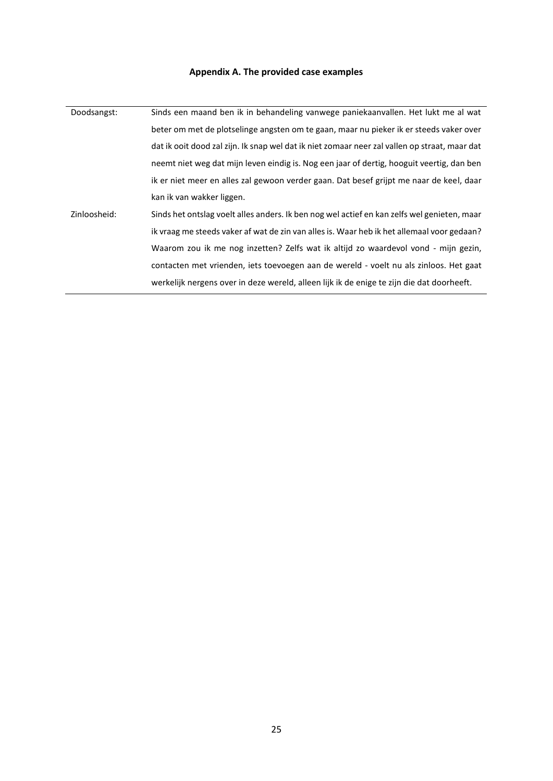## **Appendix A. The provided case examples**

<span id="page-24-0"></span>

| Doodsangst:  | Sinds een maand ben ik in behandeling vanwege paniekaanvallen. Het lukt me al wat             |
|--------------|-----------------------------------------------------------------------------------------------|
|              | beter om met de plotselinge angsten om te gaan, maar nu pieker ik er steeds vaker over        |
|              | dat ik ooit dood zal zijn. Ik snap wel dat ik niet zomaar neer zal vallen op straat, maar dat |
|              | neemt niet weg dat mijn leven eindig is. Nog een jaar of dertig, hooguit veertig, dan ben     |
|              | ik er niet meer en alles zal gewoon verder gaan. Dat besef grijpt me naar de keel, daar       |
|              | kan ik van wakker liggen.                                                                     |
| Zinloosheid: | Sinds het ontslag voelt alles anders. Ik ben nog wel actief en kan zelfs wel genieten, maar   |
|              | ik vraag me steeds vaker af wat de zin van alles is. Waar heb ik het allemaal voor gedaan?    |
|              | Waarom zou ik me nog inzetten? Zelfs wat ik altijd zo waardevol vond - mijn gezin,            |
|              | contacten met vrienden, iets toevoegen aan de wereld - voelt nu als zinloos. Het gaat         |
|              | werkelijk nergens over in deze wereld, alleen lijk ik de enige te zijn die dat doorheeft.     |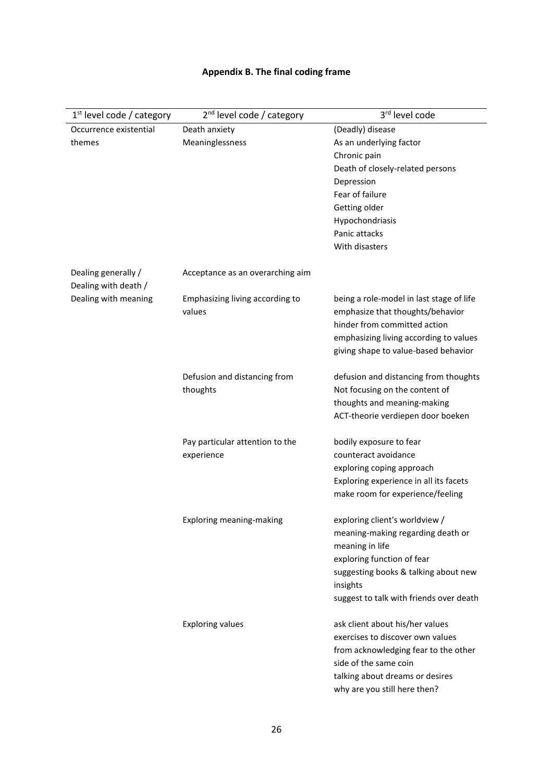## **Appendix B. The final coding frame**

<span id="page-25-0"></span>

| $1st$ level code / category                 | $2nd$ level code / category      | 3rd level code                           |  |  |  |
|---------------------------------------------|----------------------------------|------------------------------------------|--|--|--|
| Occurrence existential                      | Death anxiety                    | (Deadly) disease                         |  |  |  |
| themes                                      | Meaninglessness                  | As an underlying factor                  |  |  |  |
|                                             |                                  | Chronic pain                             |  |  |  |
|                                             |                                  | Death of closely-related persons         |  |  |  |
|                                             |                                  | Depression                               |  |  |  |
|                                             |                                  | Fear of failure                          |  |  |  |
|                                             |                                  | Getting older                            |  |  |  |
|                                             |                                  | Hypochondriasis<br>Panic attacks         |  |  |  |
|                                             |                                  | With disasters                           |  |  |  |
|                                             |                                  |                                          |  |  |  |
| Dealing generally /<br>Dealing with death / | Acceptance as an overarching aim |                                          |  |  |  |
| Dealing with meaning                        | Emphasizing living according to  | being a role-model in last stage of life |  |  |  |
|                                             | values                           | emphasize that thoughts/behavior         |  |  |  |
|                                             |                                  | hinder from committed action             |  |  |  |
|                                             |                                  | emphasizing living according to values   |  |  |  |
|                                             |                                  | giving shape to value-based behavior     |  |  |  |
|                                             | Defusion and distancing from     | defusion and distancing from thoughts    |  |  |  |
|                                             | thoughts                         | Not focusing on the content of           |  |  |  |
|                                             |                                  | thoughts and meaning-making              |  |  |  |
|                                             |                                  | ACT-theorie verdiepen door boeken        |  |  |  |
|                                             | Pay particular attention to the  | bodily exposure to fear                  |  |  |  |
|                                             | experience                       | counteract avoidance                     |  |  |  |
|                                             |                                  | exploring coping approach                |  |  |  |
|                                             |                                  | Exploring experience in all its facets   |  |  |  |
|                                             |                                  | make room for experience/feeling         |  |  |  |
|                                             |                                  | exploring client's worldview /           |  |  |  |
|                                             | Exploring meaning-making         | meaning-making regarding death or        |  |  |  |
|                                             |                                  | meaning in life                          |  |  |  |
|                                             |                                  | exploring function of fear               |  |  |  |
|                                             |                                  | suggesting books & talking about new     |  |  |  |
|                                             |                                  | insights                                 |  |  |  |
|                                             |                                  | suggest to talk with friends over death  |  |  |  |
|                                             | <b>Exploring values</b>          | ask client about his/her values          |  |  |  |
|                                             |                                  | exercises to discover own values         |  |  |  |
|                                             |                                  | from acknowledging fear to the other     |  |  |  |
|                                             |                                  | side of the same coin                    |  |  |  |
|                                             |                                  | talking about dreams or desires          |  |  |  |
|                                             |                                  | why are you still here then?             |  |  |  |